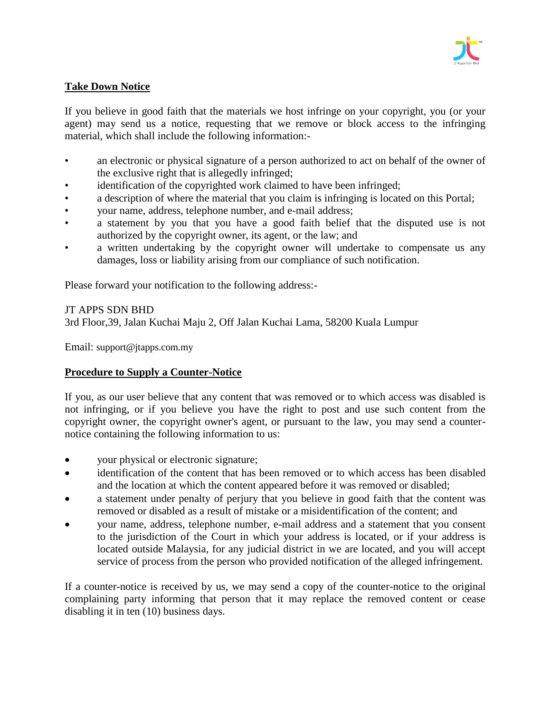

## **Take Down Notice**

If you believe in good faith that the materials we host infringe on your copyright, you (or your agent) may send us a notice, requesting that we remove or block access to the infringing material, which shall include the following information:-

- an electronic or physical signature of a person authorized to act on behalf of the owner of the exclusive right that is allegedly infringed;
- identification of the copyrighted work claimed to have been infringed;
- a description of where the material that you claim is infringing is located on this Portal;
- your name, address, telephone number, and e-mail address;
- a statement by you that you have a good faith belief that the disputed use is not authorized by the copyright owner, its agent, or the law; and
- a written undertaking by the copyright owner will undertake to compensate us any damages, loss or liability arising from our compliance of such notification.

Please forward your notification to the following address:-

## JT APPS SDN BHD

3rd Floor,39, Jalan Kuchai Maju 2, Off Jalan Kuchai Lama, 58200 Kuala Lumpur

Email: support@jtapps.com.my

## **Procedure to Supply a Counter-Notice**

If you, as our user believe that any content that was removed or to which access was disabled is not infringing, or if you believe you have the right to post and use such content from the copyright owner, the copyright owner's agent, or pursuant to the law, you may send a counternotice containing the following information to us:

- your physical or electronic signature;
- identification of the content that has been removed or to which access has been disabled and the location at which the content appeared before it was removed or disabled;
- a statement under penalty of perjury that you believe in good faith that the content was removed or disabled as a result of mistake or a misidentification of the content; and
- your name, address, telephone number, e-mail address and a statement that you consent to the jurisdiction of the Court in which your address is located, or if your address is located outside Malaysia, for any judicial district in we are located, and you will accept service of process from the person who provided notification of the alleged infringement.

If a counter-notice is received by us, we may send a copy of the counter-notice to the original complaining party informing that person that it may replace the removed content or cease disabling it in ten (10) business days.